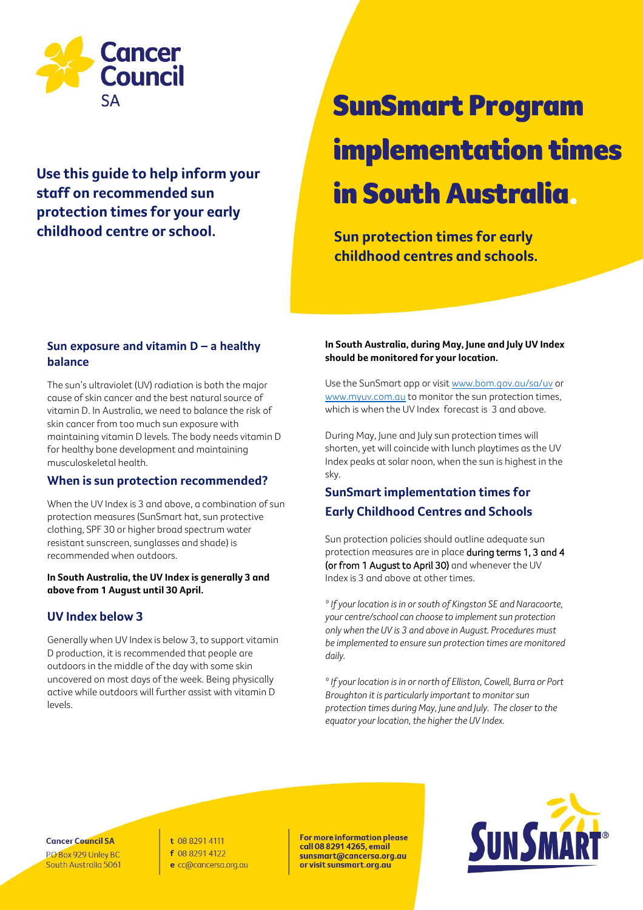

**Use this guide to help inform your staff on recommended sun protection times for your early childhood centre or school. Sun protection times for early** 

# SunSmart Program implementation times in South Australia.

**childhood centres and schools.**

## **Sun exposure and vitamin D – a healthy balance**

The sun's ultraviolet (UV) radiation is both the major cause of skin cancer and the best natural source of vitamin D. In Australia, we need to balance the risk of skin cancer from too much sun exposure with maintaining vitamin D levels. The body needs vitamin D for healthy bone development and maintaining musculoskeletal health.

### **When is sun protection recommended?**

When the UV Index is 3 and above, a combination of sun protection measures (SunSmart hat, sun protective clothing, SPF 30 or higher broad spectrum water resistant sunscreen, sunglasses and shade) is recommended when outdoors.

#### **In South Australia, the UV Index is generally 3 and above from 1 August until 30 April.**

### **UV Index below 3**

Generally when UV Index is below 3, to support vitamin D production, it is recommended that people are outdoors in the middle of the day with some skin uncovered on most days of the week. Being physically active while outdoors will further assist with vitamin D levels.

### **In South Australia, during May, June and July UV Index should be monitored for your location.**

Use the SunSmart app or visit [www.bom.gov.au/sa/uv](http://www.bom.gov.au/sa/uv) or [www.myuv.com.au](http://www.myuv.com.au/) to monitor the sun protection times, which is when the UV Index forecast is 3 and above.

During May, June and July sun protection times will shorten, yet will coincide with lunch playtimes as the UV Index peaks at solar noon, when the sun is highest in the sky.

# **SunSmart implementation times for Early Childhood Centres and Schools**

Sun protection policies should outline adequate sun protection measures are in place during terms 1, 3 and 4 (or from 1 August to April 30) and whenever the UV Index is 3 and above at other times.

*\* If your location is in or south of Kingston SE and Naracoorte, your centre/school can choose to implement sun protection only when the UV is 3 and above in August. Procedures must be implemented to ensure sun protection times are monitored daily.* 

*\* If your location is in or north of Elliston, Cowell, Burra or Port Broughton it is particularly important to monitor sun protection times during May, June and July. The closer to the equator your location, the higher the UV Index.* 

**Cancer Council SA** PO Box 929 Unley BC South Australia 5061 t 08 8291 4111 f 08 8291 4122 e cc@cancersa.org.au

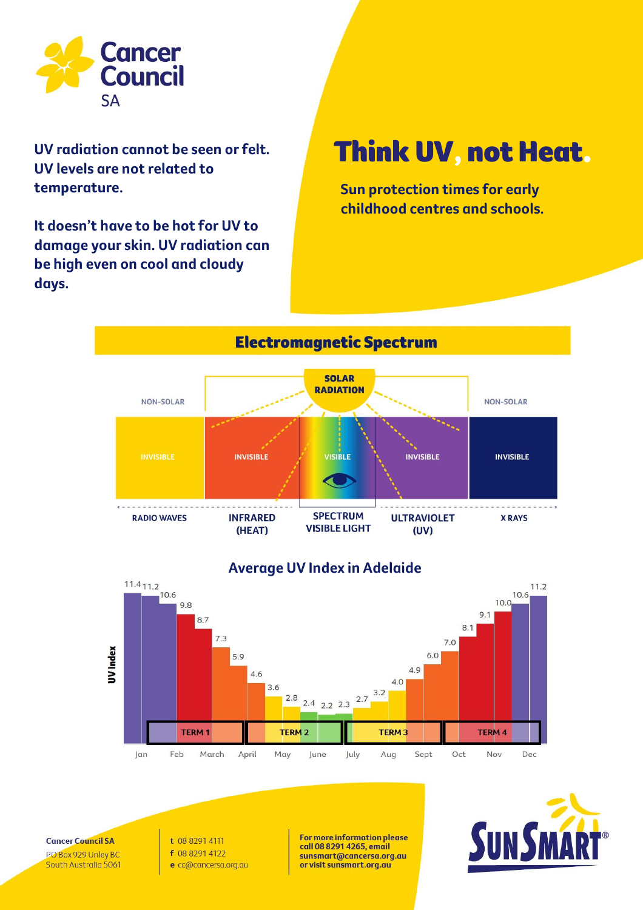

**UV radiation cannot be seen or felt. UV levels are not related to temperature.** 

**It doesn't have to be hot for UV to damage your skin. UV radiation can be high even on cool and cloudy days.** 

# Think UV, not Heat.

**Sun protection times for early childhood centres and schools.**



# **Average UV Index in Adelaide**



**Cancer Council SA** PO Box 929 Unley BC South Australia 5061 t 08 8291 4111 f 08 8291 4122 e cc@cancersa.org.au

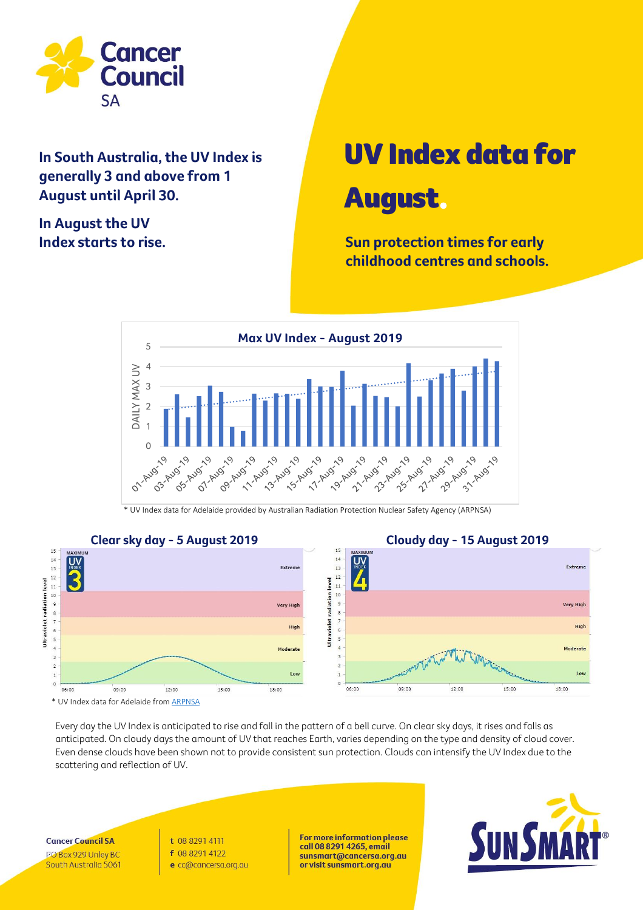

**In South Australia, the UV Index is generally 3 and above from 1 August until April 30.**

**In August the UV** 

# UV Index data for August.

**Index starts to rise. Sun protection times for early Sun protection times for early childhood centres and schools.**



\* UV Index data for Adelaide provided by Australian Radiation Protection Nuclear Safety Agency (ARPNSA)



Every day the UV Index is anticipated to rise and fall in the pattern of a bell curve. On clear sky days, it rises and falls as anticipated. On cloudy days the amount of UV that reaches Earth, varies depending on the type and density of cloud cover. Even dense clouds have been shown not to provide consistent sun protection. Clouds can intensify the UV Index due to the scattering and reflection of UV.

**Cancer Council SA** PO Box 929 Unley BC South Australia 5061 t 08 8291 4111 f 08 8291 4122 e cc@cancersa.org.au

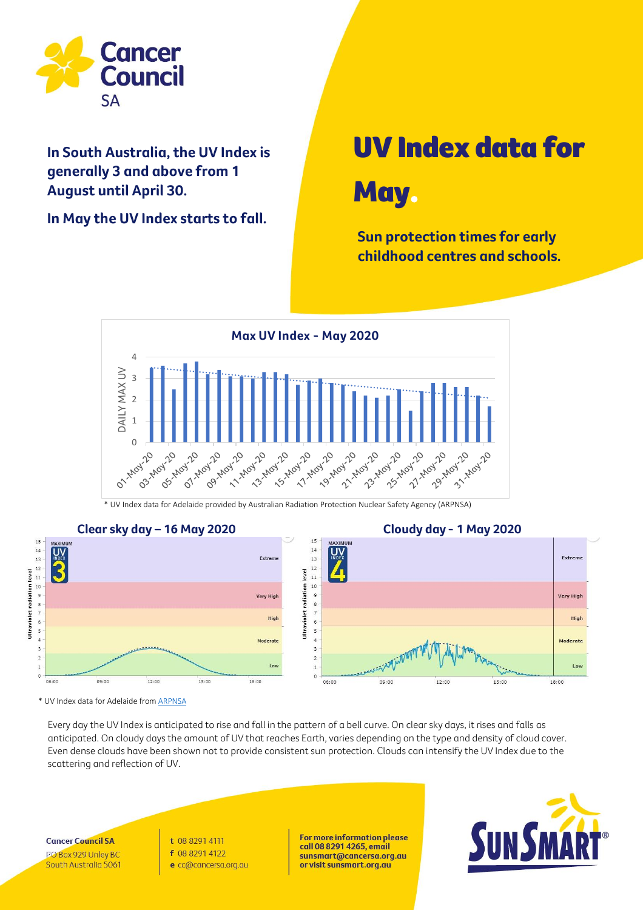

### **Average UV Index varies across Australia** due to latitude. **Locations closers to the equator August until April 30. In South Australia, the UV Index is generally 3 and above from 1**

In May the UV Index starts to fall.

# UV Index data for May.

**Sun protection times for early childhood centres and schools.**



\* UV Index data for Adelaide provided by Australian Radiation Protection Nuclear Safety Agency (ARPNSA)



\* UV Index data for Adelaide from [ARPNSA](http://www.arpansa.gov.au/our-services/monitoring)

Every day the UV Index is anticipated to rise and fall in the pattern of a bell curve. On clear sky days, it rises and falls as anticipated. On cloudy days the amount of UV that reaches Earth, varies depending on the type and density of cloud cover. Even dense clouds have been shown not to provide consistent sun protection. Clouds can intensify the UV Index due to the scattering and reflection of UV.

**Cancer Council SA** PO Box 929 Unley BC South Australia 5061 t 08 8291 4111 f 08 8291 4122 e cc@cancersa.org.au